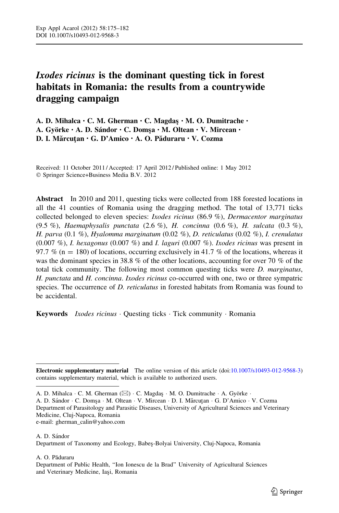# Ixodes ricinus is the dominant questing tick in forest habitats in Romania: the results from a countrywide dragging campaign

A. D. Mihalca • C. M. Gherman • C. Magdas • M. O. Dumitrache • A. Györke · A. D. Sándor · C. Domsa · M. Oltean · V. Mircean · D. I. Mărcuțan · G. D'Amico · A. O. Păduraru · V. Cozma

Received: 11 October 2011 / Accepted: 17 April 2012 / Published online: 1 May 2012 - Springer Science+Business Media B.V. 2012

Abstract In 2010 and 2011, questing ticks were collected from 188 forested locations in all the 41 counties of Romania using the dragging method. The total of 13,771 ticks collected belonged to eleven species: Ixodes ricinus (86.9 %), Dermacentor marginatus (9.5 %), Haemaphysalis punctata (2.6 %), H. concinna (0.6 %), H. sulcata (0.3 %), H. parva (0.1 %), Hyalomma marginatum (0.02 %), D. reticulatus (0.02 %), I. crenulatus  $(0.007 \%)$ , *I. hexagonus*  $(0.007 \%)$  and *I. laguri*  $(0.007 \%)$ . *Ixodes ricinus* was present in 97.7 % (n = 180) of locations, occurring exclusively in 41.7 % of the locations, whereas it was the dominant species in 38.8 % of the other locations, accounting for over 70 % of the total tick community. The following most common questing ticks were *D. marginatus*, H. punctata and H. concinna. Ixodes ricinus co-occurred with one, two or three sympatric species. The occurrence of *D. reticulatus* in forested habitats from Romania was found to be accidental.

Keywords *Ixodes ricinus* Questing ticks · Tick community · Romania

A. D. Sándor · C. Domşa · M. Oltean · V. Mircean · D. I. Mărcuțan · G. D'Amico · V. Cozma Department of Parasitology and Parasitic Diseases, University of Agricultural Sciences and Veterinary Medicine, Cluj-Napoca, Romania e-mail: gherman\_calin@yahoo.com

A. D. Sándor Department of Taxonomy and Ecology, Babes¸-Bolyai University, Cluj-Napoca, Romania

A. O. Păduraru

Electronic supplementary material The online version of this article (doi[:10.1007/s10493-012-9568-3\)](http://dx.doi.org/10.1007/s10493-012-9568-3) contains supplementary material, which is available to authorized users.

A. D. Mihalca · C. M. Gherman ( $\boxtimes$ ) · C. Magdaş · M. O. Dumitrache · A. Györke ·

Department of Public Health, ''Ion Ionescu de la Brad'' University of Agricultural Sciences and Veterinary Medicine, Iaşi, Romania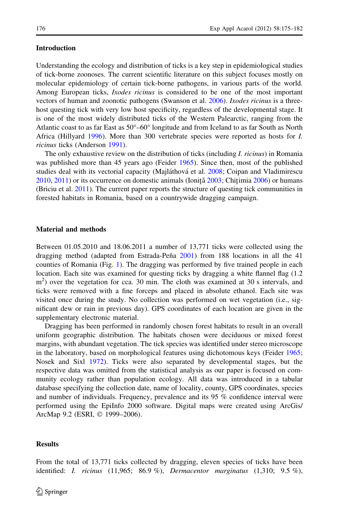# Introduction

Understanding the ecology and distribution of ticks is a key step in epidemiological studies

of tick-borne zoonoses. The current scientific literature on this subject focuses mostly on molecular epidemiology of certain tick-borne pathogens, in various parts of the world. Among European ticks, *Ixodes ricinus* is considered to be one of the most important vectors of human and zoonotic pathogens (Swanson et al. [2006\)](#page-7-0). Ixodes ricinus is a threehost questing tick with very low host specificity, regardless of the developmental stage. It is one of the most widely distributed ticks of the Western Palearctic, ranging from the Atlantic coast to as far East as  $50^{\circ} - 60^{\circ}$  longitude and from Iceland to as far South as North Africa (Hillyard [1996\)](#page-6-0). More than 300 vertebrate species were reported as hosts for I. ricinus ticks (Anderson [1991](#page-6-0)).

The only exhaustive review on the distribution of ticks (including *I. ricinus*) in Romania was published more than 45 years ago (Feider [1965](#page-6-0)). Since then, most of the published studies deal with its vectorial capacity (Majláthová et al. [2008;](#page-7-0) Coipan and Vladimirescu  $2010, 2011$  $2010, 2011$  $2010, 2011$ ) or its occurrence on domestic animals (Ionită  $2003$ ; Chitimia [2006](#page-6-0)) or humans (Briciu et al. [2011\)](#page-6-0). The current paper reports the structure of questing tick communities in forested habitats in Romania, based on a countrywide dragging campaign.

### Material and methods

Between 01.05.2010 and 18.06.2011 a number of 13,771 ticks were collected using the dragging method (adapted from Estrada-Peña  $2001$ ) from 188 locations in all the 41 counties of Romania (Fig. [1](#page-2-0)). The dragging was performed by five trained people in each location. Each site was examined for questing ticks by dragging a white flannel flag (1.2 m<sup>2</sup>) over the vegetation for cca. 30 min. The cloth was examined at 30 s intervals, and ticks were removed with a fine forceps and placed in absolute ethanol. Each site was visited once during the study. No collection was performed on wet vegetation (i.e., significant dew or rain in previous day). GPS coordinates of each location are given in the supplementary electronic material.

Dragging has been performed in randomly chosen forest habitats to result in an overall uniform geographic distribution. The habitats chosen were deciduous or mixed forest margins, with abundant vegetation. The tick species was identified under stereo microscope in the laboratory, based on morphological features using dichotomous keys (Feider [1965;](#page-6-0) Nosek and Sixl [1972\)](#page-7-0). Ticks were also separated by developmental stages, but the respective data was omitted from the statistical analysis as our paper is focused on community ecology rather than population ecology. All data was introduced in a tabular database specifying the collection date, name of locality, county, GPS coordinates, species and number of individuals. Frequency, prevalence and its 95 % confidence interval were performed using the EpiInfo 2000 software. Digital maps were created using ArcGis/ ArcMap 9.2 (ESRI, © 1999–2006).

#### Results

From the total of 13,771 ticks collected by dragging, eleven species of ticks have been identified: *I. ricinus*  $(11,965; 86.9 \%)$ , *Dermacentor marginatus*  $(1,310; 9.5 \%)$ ,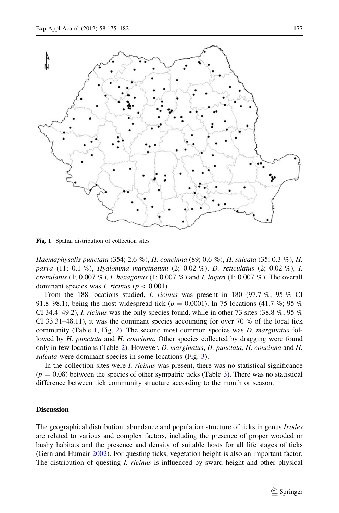<span id="page-2-0"></span>

Fig. 1 Spatial distribution of collection sites

Haemaphysalis punctata (354; 2.6 %), H. concinna (89; 0.6 %), H. sulcata (35; 0.3 %), H. parva (11; 0.1 %), Hyalomma marginatum (2; 0.02 %), D. reticulatus (2; 0.02 %), I. crenulatus (1; 0.007 %), *I. hexagonus* (1; 0.007 %) and *I. laguri* (1; 0.007 %). The overall dominant species was I. ricinus ( $p\lt0.001$ ).

From the 188 locations studied, *I. ricinus* was present in 180 (97.7 %; 95 % CI 91.8–98.1), being the most widespread tick ( $p = 0.0001$ ). In 75 locations (41.7 %; 95 %) CI 34.4–49.2), *I. ricinus* was the only species found, while in other 73 sites (38.8  $\%$ ; 95  $\%$ CI 33.31–48.11), it was the dominant species accounting for over 70 % of the local tick community (Table [1](#page-3-0), Fig. [2\)](#page-3-0). The second most common species was *D. marginatus* followed by H. punctata and H. concinna. Other species collected by dragging were found only in few locations (Table [2\)](#page-4-0). However, D. marginatus, H. punctata, H. concinna and H. sulcata were dominant species in some locations (Fig. [3\)](#page-4-0).

In the collection sites were *I. ricinus* was present, there was no statistical significance  $(p = 0.08)$  between the species of other sympatric ticks (Table [3\)](#page-5-0). There was no statistical difference between tick community structure according to the month or season.

# **Discussion**

The geographical distribution, abundance and population structure of ticks in genus Ixodes are related to various and complex factors, including the presence of proper wooded or bushy habitats and the presence and density of suitable hosts for all life stages of ticks (Gern and Humair [2002\)](#page-6-0). For questing ticks, vegetation height is also an important factor. The distribution of questing *I. ricinus* is influenced by sward height and other physical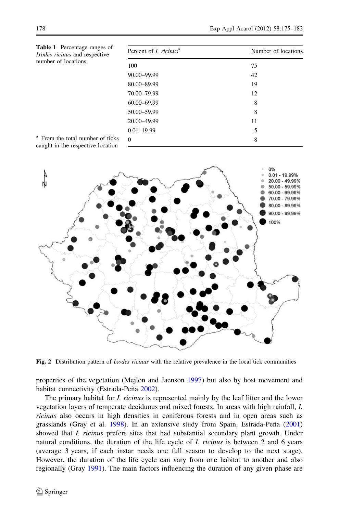<span id="page-3-0"></span>

| <b>Table 1</b> Percentage ranges of<br><i>Ixodes ricinus</i> and respective      | Percent of <i>I. ricinus</i> <sup>a</sup> | Number of locations |
|----------------------------------------------------------------------------------|-------------------------------------------|---------------------|
| number of locations                                                              | 100                                       | 75                  |
|                                                                                  | 90.00-99.99                               | 42                  |
|                                                                                  | 80.00-89.99                               | 19                  |
|                                                                                  | 70.00-79.99                               | 12                  |
|                                                                                  | 60.00-69.99                               | 8                   |
|                                                                                  | 50.00-59.99                               | 8                   |
|                                                                                  | 20.00-49.99                               | 11                  |
|                                                                                  | $0.01 - 19.99$                            | 5                   |
| <sup>a</sup> From the total number of ticks<br>cought in the recognized location | $\Omega$                                  | 8                   |

caught in the respective location



Fig. 2 Distribution pattern of *Ixodes ricinus* with the relative prevalence in the local tick communities

properties of the vegetation (Mejlon and Jaenson [1997\)](#page-7-0) but also by host movement and habitat connectivity (Estrada-Peña [2002](#page-6-0)).

The primary habitat for *I. ricinus* is represented mainly by the leaf litter and the lower vegetation layers of temperate deciduous and mixed forests. In areas with high rainfall, I. ricinus also occurs in high densities in coniferous forests and in open areas such as grasslands (Gray et al. [1998\)](#page-6-0). In an extensive study from Spain, Estrada-Peña ([2001](#page-6-0)) showed that *I. ricinus* prefers sites that had substantial secondary plant growth. Under natural conditions, the duration of the life cycle of *I. ricinus* is between 2 and 6 years (average 3 years, if each instar needs one full season to develop to the next stage). However, the duration of the life cycle can vary from one habitat to another and also regionally (Gray [1991](#page-6-0)). The main factors influencing the duration of any given phase are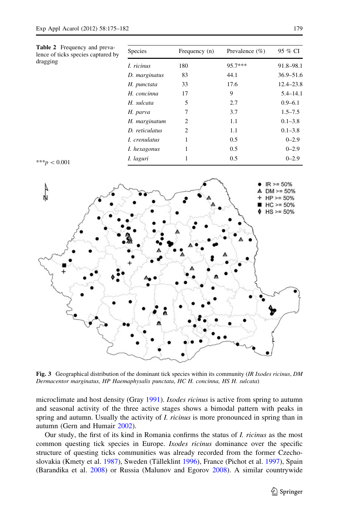<span id="page-4-0"></span>

| <b>Table 2</b> Frequency and preva-<br>lence of ticks species captured by<br>dragging | <b>Species</b> | Frequency (n)  | Prevalence $(\% )$ | 95 % CI       |
|---------------------------------------------------------------------------------------|----------------|----------------|--------------------|---------------|
|                                                                                       | I. ricinus     | 180            | 95.7***            | 91.8-98.1     |
|                                                                                       | D. marginatus  | 83             | 44.1               | $36.9 - 51.6$ |
|                                                                                       | H. punctata    | 33             | 17.6               | $12.4 - 23.8$ |
|                                                                                       | H. concinna    | 17             | 9                  | $5.4 - 14.1$  |
|                                                                                       | H. sulcata     | 5              | 2.7                | $0.9 - 6.1$   |
|                                                                                       | H. parva       | 7              | 3.7                | $1.5 - 7.5$   |
|                                                                                       | H. marginatum  | $\overline{c}$ | 1.1                | $0.1 - 3.8$   |
|                                                                                       | D. reticulatus | 2              | 1.1                | $0.1 - 3.8$   |
|                                                                                       | I. crenulatus  | 1              | 0.5                | $0 - 2.9$     |
|                                                                                       | I. hexagonus   | 1              | 0.5                | $0 - 2.9$     |
| *** $p < 0.001$                                                                       | I. laguri      | 1              | 0.5                | $0 - 2.9$     |
|                                                                                       |                |                |                    |               |



Fig. 3 Geographical distribution of the dominant tick species within its community (IR Ixodes ricinus, DM Dermacentor marginatus, HP Haemaphysalis punctata, HC H. concinna, HS H. sulcata)

microclimate and host density (Gray [1991](#page-6-0)). *Ixodes ricinus* is active from spring to autumn and seasonal activity of the three active stages shows a bimodal pattern with peaks in spring and autumn. Usually the activity of *I. ricinus* is more pronounced in spring than in autumn (Gern and Humair [2002\)](#page-6-0).

Our study, the first of its kind in Romania confirms the status of I. ricinus as the most common questing tick species in Europe. Ixodes ricinus dominance over the specific structure of questing ticks communities was already recorded from the former Czecho-slovakia (Kmety et al. [1987](#page-6-0)), Sweden (Tälleklint [1996\)](#page-7-0), France (Pichot et al. [1997\)](#page-7-0), Spain (Barandika et al. [2008](#page-6-0)) or Russia (Malunov and Egorov [2008](#page-7-0)). A similar countrywide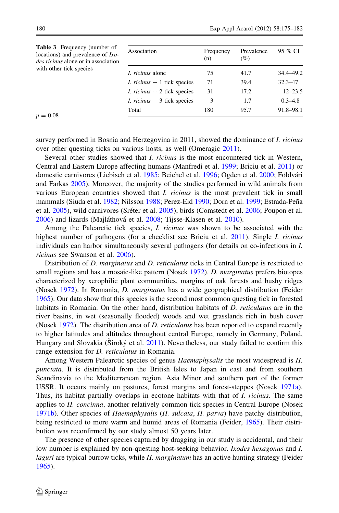<span id="page-5-0"></span>

| <b>Table 3</b> Frequency (number of<br>locations) and prevalence of <i>Ixo</i> -<br><i>des ricinus</i> alone or in association | Association                         | Frequency<br>(n) | Prevalence<br>(%) | 95 % CI     |
|--------------------------------------------------------------------------------------------------------------------------------|-------------------------------------|------------------|-------------------|-------------|
| with other tick species                                                                                                        | <i>I. ricinus</i> alone             | 75               | 41.7              | 34.4-49.2   |
| $p = 0.08$                                                                                                                     | <i>I. ricinus</i> $+1$ tick species | 71               | 39.4              | $32.3 - 47$ |
|                                                                                                                                | <i>I. ricinus</i> $+2$ tick species | 31               | 17.2              | $12 - 23.5$ |
|                                                                                                                                | <i>I. ricinus</i> $+3$ tick species | 3                | 1.7               | $0.3 - 4.8$ |
|                                                                                                                                | Total                               | 180              | 95.7              | 91.8-98.1   |

survey performed in Bosnia and Herzegovina in 2011, showed the dominance of *I. ricinus* over other questing ticks on various hosts, as well (Omeragic [2011\)](#page-7-0).

Several other studies showed that *I. ricinus* is the most encountered tick in Western, Central and Eastern Europe affecting humans (Manfredi et al. [1999](#page-7-0); Briciu et al. [2011\)](#page-6-0) or domestic carnivores (Liebisch et al. [1985;](#page-6-0) Beichel et al. [1996;](#page-6-0) Ogden et al. [2000](#page-7-0); Földvári and Farkas [2005\)](#page-6-0). Moreover, the majority of the studies performed in wild animals from various European countries showed that *I. ricinus* is the most prevalent tick in small mammals (Siuda et al. [1982;](#page-7-0) Nilsson [1988;](#page-7-0) Perez-Eid [1990](#page-7-0); Dorn et al. [1999;](#page-6-0) Estrada-Peña et al. [2005](#page-7-0)), wild carnivores (Sréter et al. 2005), birds (Comstedt et al. [2006](#page-6-0); Poupon et al. [2006\)](#page-7-0) and lizards (Majláthová et al. [2008](#page-7-0); Tijsse-Klasen et al. [2010\)](#page-7-0).

Among the Palearctic tick species, *I. ricinus* was shown to be associated with the highest number of pathogens (for a checklist see Briciu et al. [2011\)](#page-6-0). Single *I. ricinus* individuals can harbor simultaneously several pathogens (for details on co-infections in I. ricinus see Swanson et al. [2006](#page-7-0)).

Distribution of *D. marginatus* and *D. reticulatus* ticks in Central Europe is restricted to small regions and has a mosaic-like pattern (Nosek [1972](#page-7-0)). D. *marginatus* prefers biotopes characterized by xerophilic plant communities, margins of oak forests and bushy ridges (Nosek [1972\)](#page-7-0). In Romania, D. marginatus has a wide geographical distribution (Feider [1965\)](#page-6-0). Our data show that this species is the second most common questing tick in forested habitats in Romania. On the other hand, distribution habitats of *D. reticulatus* are in the river basins, in wet (seasonally flooded) woods and wet grasslands rich in bush cover (Nosek [1972\)](#page-7-0). The distribution area of *D. reticulatus* has been reported to expand recently to higher latitudes and altitudes throughout central Europe, namely in Germany, Poland, Hungary and Slovakia (Siroký et al.  $2011$ ). Nevertheless, our study failed to confirm this range extension for *D. reticulatus* in Romania.

Among Western Palearctic species of genus *Haemaphysalis* the most widespread is H. punctata. It is distributed from the British Isles to Japan in east and from southern Scandinavia to the Mediterranean region, Asia Minor and southern part of the former USSR. It occurs mainly on pastures, forest margins and forest-steppes (Nosek [1971a](#page-7-0)). Thus, its habitat partially overlaps in ecotone habitats with that of I. ricinus. The same applies to *H. concinna*, another relatively common tick species in Central Europe (Nosek [1971b](#page-7-0)). Other species of Haemaphysalis (H. sulcata, H. parva) have patchy distribution, being restricted to more warm and humid areas of Romania (Feider, [1965](#page-6-0)). Their distribution was reconfirmed by our study almost 50 years later.

The presence of other species captured by dragging in our study is accidental, and their low number is explained by non-questing host-seeking behavior. Ixodes hexagonus and I. laguri are typical burrow ticks, while H. marginatum has an active hunting strategy (Feider [1965\)](#page-6-0).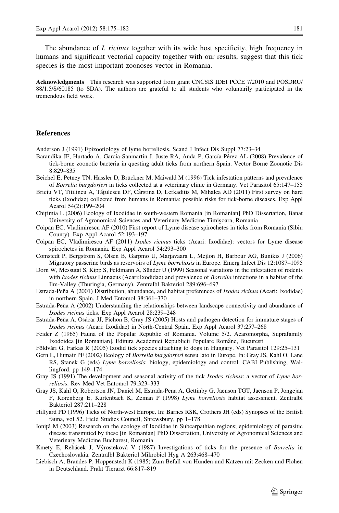<span id="page-6-0"></span>The abundance of *I. ricinus* together with its wide host specificity, high frequency in humans and significant vectorial capacity together with our results, suggest that this tick species is the most important zoonoses vector in Romania.

Acknowledgments This research was supported from grant CNCSIS IDEI PCCE 7/2010 and POSDRU/ 88/1.5/S/60185 (to SDA). The authors are grateful to all students who voluntarily participated in the tremendous field work.

# **References**

Anderson J (1991) Epizootiology of lyme borreliosis. Scand J Infect Dis Suppl 77:23–34

- Barandika JF, Hurtado A, García-Sanmartín J, Juste RA, Anda P, García-Pérez AL (2008) Prevalence of tick-borne zoonotic bacteria in questing adult ticks from northern Spain. Vector Borne Zoonotic Dis 8:829–835
- Beichel E, Petney TN, Hassler D, Brückner M, Maiwald M (1996) Tick infestation patterns and prevalence of Borrelia burgdorferi in ticks collected at a veterinary clinic in Germany. Vet Parasitol 65:147–155
- Briciu VT, Titilincu A, Tățulescu DF, Cârstina D, Lefkaditis M, Mihalca AD (2011) First survey on hard ticks (Ixodidae) collected from humans in Romania: possible risks for tick-borne diseases. Exp Appl Acarol 54(2):199–204
- Chitimia L (2006) Ecology of Ixodidae in south-western Romania [in Romanian] PhD Dissertation, Banat University of Agronomical Sciences and Veterinary Medicine Timisoara, Romania
- Coipan EC, Vladimirescu AF (2010) First report of Lyme disease spirochetes in ticks from Romania (Sibiu County). Exp Appl Acarol 52:193–197
- Coipan EC, Vladimirescu AF (2011) Ixodes ricinus ticks (Acari: Ixodidae): vectors for Lyme disease spirochetes in Romania. Exp Appl Acarol 54:293–300
- Comstedt P, Bergström S, Olsen B, Garpmo U, Marjavaara L, Mejlon H, Barbour AG, Bunikis J (2006) Migratory passerine birds as reservoirs of Lyme borreliosis in Europe. Emerg Infect Dis 12:1087–1095
- Dorn W, Messutat S, Kipp S, Feldmann A, Sünder U (1999) Seasonal variations in the infestation of rodents with Ixodes ricinus Linnaeus (Acari:Ixodidae) and prevalence of Borrelia infections in a habitat of the Ilm-Valley (Thuringia, Germany). Zentralbl Bakteriol 289:696–697
- Estrada-Peña A (2001) Distribution, abundance, and habitat preferences of Ixodes ricinus (Acari: Ixodidae) in northern Spain. J Med Entomol 38:361–370
- Estrada-Peña A (2002) Understanding the relationships between landscape connectivity and abundance of Ixodes ricinus ticks. Exp Appl Acarol 28:239–248
- Estrada-Peña A, Osácar JJ, Pichon B, Gray JS (2005) Hosts and pathogen detection for immature stages of Ixodes ricinus (Acari: Ixodidae) in North-Central Spain. Exp Appl Acarol 37:257–268
- Feider Z (1965) Fauna of the Popular Republic of Romania. Volume 5/2. Acaromorpha, Suprafamily Ixodoidea [in Romanian]. Editura Academiei Republicii Populare Române, Bucuresti
- Földvári G, Farkas R (2005) Ixodid tick species attaching to dogs in Hungary. Vet Parasitol 129:25–131
- Gern L, Humair PF (2002) Ecology of *Borrelia burgdorferi* sensu lato in Europe. In: Gray JS, Kahl O, Lane RS, Stanek G (eds) Lyme borreliosis: biology, epidemiology and control. CABI Publishing, Wallingford, pp 149–174
- Gray JS (1991) The development and seasonal activity of the tick Ixodes ricinus: a vector of Lyme borreliosis. Rev Med Vet Entomol 79:323–333
- Gray JS, Kahl O, Robertson JN, Daniel M, Estrada-Pena A, Gettinby G, Jaenson TGT, Jaenson P, Jongejan F, Korenberg E, Kurtenbach K, Zeman P (1998) Lyme borreliosis habitat assessment. Zentralbl Bakteriol 287:211–228
- Hillyard PD (1996) Ticks of North-west Europe. In: Barnes RSK, Crothers JH (eds) Synopses of the British fauna, vol 52. Field Studies Council, Shrewsbury, pp 1–178
- Ioniță M (2003) Research on the ecology of Ixodidae in Subcarpathian regions; epidemiology of parasitic disease transmitted by these [in Romanian] PhD Dissertation, University of Agronomical Sciences and Veterinary Medicine Bucharest, Romania
- Kmety E, Rehácek J, Výrosteková V (1987) Investigations of ticks for the presence of Borrelia in Czechoslovakia. Zentralbl Bakteriol Mikrobiol Hyg A 263:468–470
- Liebisch A, Brandes P, Hoppenstedt K (1985) Zum Befall von Hunden und Katzen mit Zecken und Flohen in Deutschland. Prakt Tierarzt 66:817–819